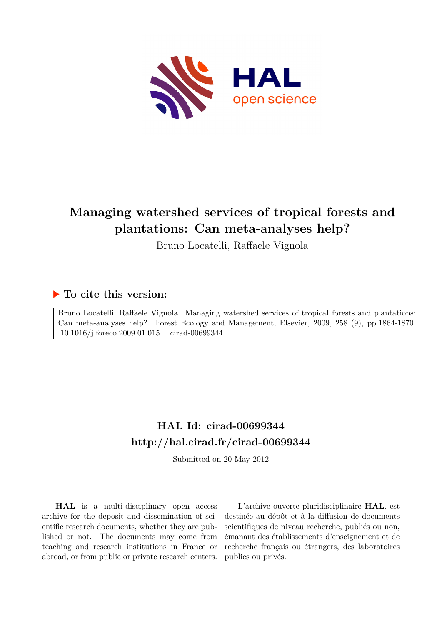

# **Managing watershed services of tropical forests and plantations: Can meta-analyses help?**

Bruno Locatelli, Raffaele Vignola

# **To cite this version:**

Bruno Locatelli, Raffaele Vignola. Managing watershed services of tropical forests and plantations: Can meta-analyses help?. Forest Ecology and Management, Elsevier, 2009, 258 (9), pp.1864-1870.  $10.1016/j.foreco.2009.01.015$  . cirad-00699344

# **HAL Id: cirad-00699344 <http://hal.cirad.fr/cirad-00699344>**

Submitted on 20 May 2012

**HAL** is a multi-disciplinary open access archive for the deposit and dissemination of scientific research documents, whether they are published or not. The documents may come from teaching and research institutions in France or abroad, or from public or private research centers.

L'archive ouverte pluridisciplinaire **HAL**, est destinée au dépôt et à la diffusion de documents scientifiques de niveau recherche, publiés ou non, émanant des établissements d'enseignement et de recherche français ou étrangers, des laboratoires publics ou privés.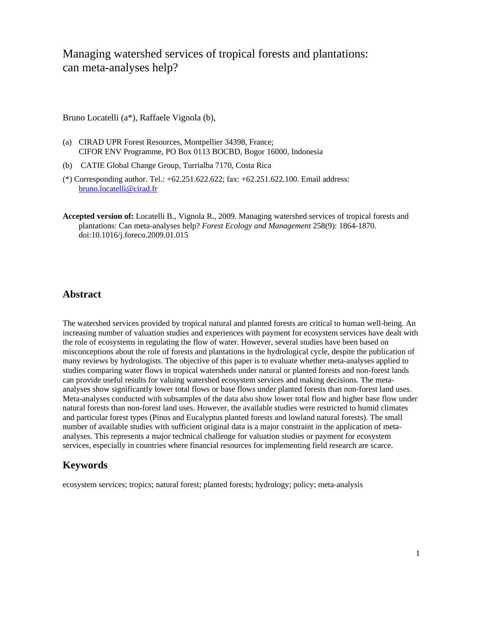# Managing watershed services of tropical forests and plantations: can meta-analyses help?

Bruno Locatelli (a\*), Raffaele Vignola (b),

- (a) CIRAD UPR Forest Resources, Montpellier 34398, France; CIFOR ENV Programme, PO Box 0113 BOCBD, Bogor 16000, Indonesia
- (b) CATIE Global Change Group, Turrialba 7170, Costa Rica
- (\*) Corresponding author. Tel.: +62.251.622.622; fax: +62.251.622.100. Email address: bruno.locatelli@cirad.fr
- **Accepted version of:** Locatelli B., Vignola R., 2009. Managing watershed services of tropical forests and plantations: Can meta-analyses help? *Forest Ecology and Management* 258(9): 1864-1870. doi:10.1016/j.foreco.2009.01.015

### **Abstract**

The watershed services provided by tropical natural and planted forests are critical to human well-being. An increasing number of valuation studies and experiences with payment for ecosystem services have dealt with the role of ecosystems in regulating the flow of water. However, several studies have been based on misconceptions about the role of forests and plantations in the hydrological cycle, despite the publication of many reviews by hydrologists. The objective of this paper is to evaluate whether meta-analyses applied to studies comparing water flows in tropical watersheds under natural or planted forests and non-forest lands can provide useful results for valuing watershed ecosystem services and making decisions. The metaanalyses show significantly lower total flows or base flows under planted forests than non-forest land uses. Meta-analyses conducted with subsamples of the data also show lower total flow and higher base flow under natural forests than non-forest land uses. However, the available studies were restricted to humid climates and particular forest types (Pinus and Eucalyptus planted forests and lowland natural forests). The small number of available studies with sufficient original data is a major constraint in the application of metaanalyses. This represents a major technical challenge for valuation studies or payment for ecosystem services, especially in countries where financial resources for implementing field research are scarce.

### **Keywords**

ecosystem services; tropics; natural forest; planted forests; hydrology; policy; meta-analysis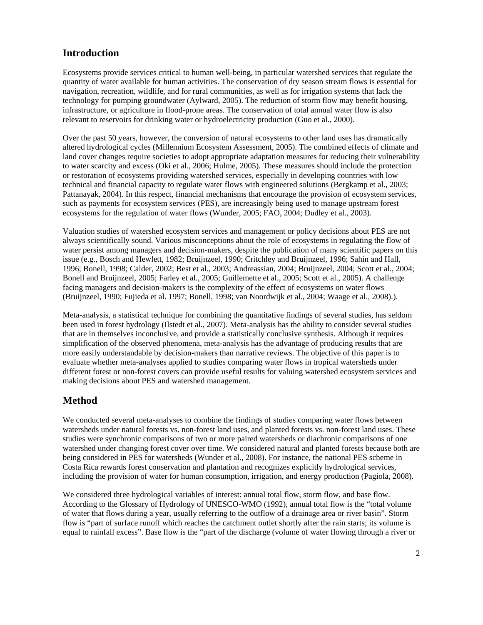# **Introduction**

Ecosystems provide services critical to human well-being, in particular watershed services that regulate the quantity of water available for human activities. The conservation of dry season stream flows is essential for navigation, recreation, wildlife, and for rural communities, as well as for irrigation systems that lack the technology for pumping groundwater (Aylward, 2005). The reduction of storm flow may benefit housing, infrastructure, or agriculture in flood-prone areas. The conservation of total annual water flow is also relevant to reservoirs for drinking water or hydroelectricity production (Guo et al., 2000).

Over the past 50 years, however, the conversion of natural ecosystems to other land uses has dramatically altered hydrological cycles (Millennium Ecosystem Assessment, 2005). The combined effects of climate and land cover changes require societies to adopt appropriate adaptation measures for reducing their vulnerability to water scarcity and excess (Oki et al., 2006; Hulme, 2005). These measures should include the protection or restoration of ecosystems providing watershed services, especially in developing countries with low technical and financial capacity to regulate water flows with engineered solutions (Bergkamp et al., 2003; Pattanayak, 2004). In this respect, financial mechanisms that encourage the provision of ecosystem services, such as payments for ecosystem services (PES), are increasingly being used to manage upstream forest ecosystems for the regulation of water flows (Wunder, 2005; FAO, 2004; Dudley et al., 2003).

Valuation studies of watershed ecosystem services and management or policy decisions about PES are not always scientifically sound. Various misconceptions about the role of ecosystems in regulating the flow of water persist among managers and decision-makers, despite the publication of many scientific papers on this issue (e.g., Bosch and Hewlett, 1982; Bruijnzeel, 1990; Critchley and Bruijnzeel, 1996; Sahin and Hall, 1996; Bonell, 1998; Calder, 2002; Best et al., 2003; Andreassian, 2004; Bruijnzeel, 2004; Scott et al., 2004; Bonell and Bruijnzeel, 2005; Farley et al., 2005; Guillemette et al., 2005; Scott et al., 2005). A challenge facing managers and decision-makers is the complexity of the effect of ecosystems on water flows (Bruijnzeel, 1990; Fujieda et al. 1997; Bonell, 1998; van Noordwijk et al., 2004; Waage et al., 2008).).

Meta-analysis, a statistical technique for combining the quantitative findings of several studies, has seldom been used in forest hydrology (Ilstedt et al., 2007). Meta-analysis has the ability to consider several studies that are in themselves inconclusive, and provide a statistically conclusive synthesis. Although it requires simplification of the observed phenomena, meta-analysis has the advantage of producing results that are more easily understandable by decision-makers than narrative reviews. The objective of this paper is to evaluate whether meta-analyses applied to studies comparing water flows in tropical watersheds under different forest or non-forest covers can provide useful results for valuing watershed ecosystem services and making decisions about PES and watershed management.

# **Method**

We conducted several meta-analyses to combine the findings of studies comparing water flows between watersheds under natural forests vs. non-forest land uses, and planted forests vs. non-forest land uses. These studies were synchronic comparisons of two or more paired watersheds or diachronic comparisons of one watershed under changing forest cover over time. We considered natural and planted forests because both are being considered in PES for watersheds (Wunder et al., 2008). For instance, the national PES scheme in Costa Rica rewards forest conservation and plantation and recognizes explicitly hydrological services, including the provision of water for human consumption, irrigation, and energy production (Pagiola, 2008).

We considered three hydrological variables of interest: annual total flow, storm flow, and base flow. According to the Glossary of Hydrology of UNESCO-WMO (1992), annual total flow is the "total volume of water that flows during a year, usually referring to the outflow of a drainage area or river basin". Storm flow is "part of surface runoff which reaches the catchment outlet shortly after the rain starts; its volume is equal to rainfall excess". Base flow is the "part of the discharge (volume of water flowing through a river or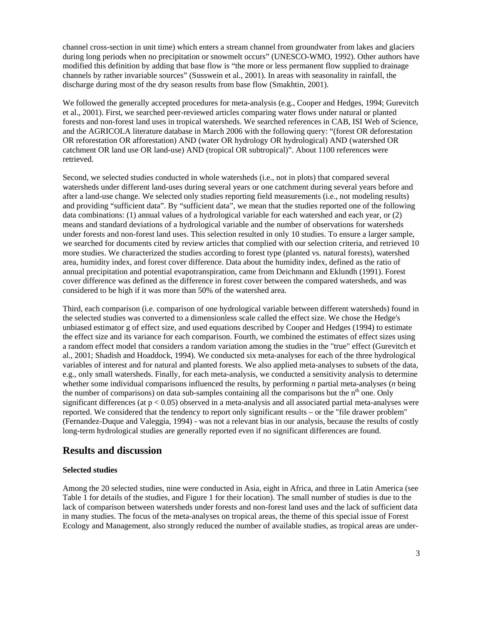channel cross-section in unit time) which enters a stream channel from groundwater from lakes and glaciers during long periods when no precipitation or snowmelt occurs" (UNESCO-WMO, 1992). Other authors have modified this definition by adding that base flow is "the more or less permanent flow supplied to drainage channels by rather invariable sources" (Susswein et al., 2001). In areas with seasonality in rainfall, the discharge during most of the dry season results from base flow (Smakhtin, 2001).

We followed the generally accepted procedures for meta-analysis (e.g., Cooper and Hedges, 1994; Gurevitch et al., 2001). First, we searched peer-reviewed articles comparing water flows under natural or planted forests and non-forest land uses in tropical watersheds. We searched references in CAB, ISI Web of Science, and the AGRICOLA literature database in March 2006 with the following query: "(forest OR deforestation OR reforestation OR afforestation) AND (water OR hydrology OR hydrological) AND (watershed OR catchment OR land use OR land-use) AND (tropical OR subtropical)". About 1100 references were retrieved.

Second, we selected studies conducted in whole watersheds (i.e., not in plots) that compared several watersheds under different land-uses during several years or one catchment during several years before and after a land-use change. We selected only studies reporting field measurements (i.e., not modeling results) and providing "sufficient data". By "sufficient data", we mean that the studies reported one of the following data combinations: (1) annual values of a hydrological variable for each watershed and each year, or (2) means and standard deviations of a hydrological variable and the number of observations for watersheds under forests and non-forest land uses. This selection resulted in only 10 studies. To ensure a larger sample, we searched for documents cited by review articles that complied with our selection criteria, and retrieved 10 more studies. We characterized the studies according to forest type (planted vs. natural forests), watershed area, humidity index, and forest cover difference. Data about the humidity index, defined as the ratio of annual precipitation and potential evapotranspiration, came from Deichmann and Eklundh (1991). Forest cover difference was defined as the difference in forest cover between the compared watersheds, and was considered to be high if it was more than 50% of the watershed area.

Third, each comparison (i.e. comparison of one hydrological variable between different watersheds) found in the selected studies was converted to a dimensionless scale called the effect size. We chose the Hedge's unbiased estimator g of effect size, and used equations described by Cooper and Hedges (1994) to estimate the effect size and its variance for each comparison. Fourth, we combined the estimates of effect sizes using a random effect model that considers a random variation among the studies in the "true" effect (Gurevitch et al., 2001; Shadish and Hoaddock, 1994). We conducted six meta-analyses for each of the three hydrological variables of interest and for natural and planted forests. We also applied meta-analyses to subsets of the data, e.g., only small watersheds. Finally, for each meta-analysis, we conducted a sensitivity analysis to determine whether some individual comparisons influenced the results, by performing *n* partial meta-analyses (*n* being the number of comparisons) on data sub-samples containing all the comparisons but the  $n<sup>th</sup>$  one. Only significant differences (at  $p < 0.05$ ) observed in a meta-analysis and all associated partial meta-analyses were reported. We considered that the tendency to report only significant results – or the "file drawer problem" (Fernandez-Duque and Valeggia, 1994) - was not a relevant bias in our analysis, because the results of costly long-term hydrological studies are generally reported even if no significant differences are found.

#### **Results and discussion**

#### **Selected studies**

Among the 20 selected studies, nine were conducted in Asia, eight in Africa, and three in Latin America (see Table 1 for details of the studies, and Figure 1 for their location). The small number of studies is due to the lack of comparison between watersheds under forests and non-forest land uses and the lack of sufficient data in many studies. The focus of the meta-analyses on tropical areas, the theme of this special issue of Forest Ecology and Management, also strongly reduced the number of available studies, as tropical areas are under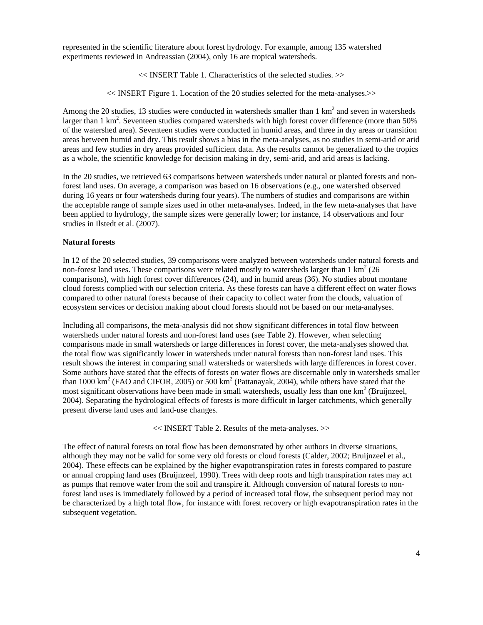represented in the scientific literature about forest hydrology. For example, among 135 watershed experiments reviewed in Andreassian (2004), only 16 are tropical watersheds.

<< INSERT Table 1. Characteristics of the selected studies. >>

<< INSERT Figure 1. Location of the 20 studies selected for the meta-analyses.>>

Among the 20 studies, 13 studies were conducted in watersheds smaller than 1  $\text{km}^2$  and seven in watersheds larger than 1 km<sup>2</sup>. Seventeen studies compared watersheds with high forest cover difference (more than 50% of the watershed area). Seventeen studies were conducted in humid areas, and three in dry areas or transition areas between humid and dry. This result shows a bias in the meta-analyses, as no studies in semi-arid or arid areas and few studies in dry areas provided sufficient data. As the results cannot be generalized to the tropics as a whole, the scientific knowledge for decision making in dry, semi-arid, and arid areas is lacking.

In the 20 studies, we retrieved 63 comparisons between watersheds under natural or planted forests and nonforest land uses. On average, a comparison was based on 16 observations (e.g., one watershed observed during 16 years or four watersheds during four years). The numbers of studies and comparisons are within the acceptable range of sample sizes used in other meta-analyses. Indeed, in the few meta-analyses that have been applied to hydrology, the sample sizes were generally lower; for instance, 14 observations and four studies in Ilstedt et al. (2007).

#### **Natural forests**

In 12 of the 20 selected studies, 39 comparisons were analyzed between watersheds under natural forests and non-forest land uses. These comparisons were related mostly to watersheds larger than  $1 \text{ km}^2$  (26 comparisons), with high forest cover differences (24), and in humid areas (36). No studies about montane cloud forests complied with our selection criteria. As these forests can have a different effect on water flows compared to other natural forests because of their capacity to collect water from the clouds, valuation of ecosystem services or decision making about cloud forests should not be based on our meta-analyses.

Including all comparisons, the meta-analysis did not show significant differences in total flow between watersheds under natural forests and non-forest land uses (see Table 2). However, when selecting comparisons made in small watersheds or large differences in forest cover, the meta-analyses showed that the total flow was significantly lower in watersheds under natural forests than non-forest land uses. This result shows the interest in comparing small watersheds or watersheds with large differences in forest cover. Some authors have stated that the effects of forests on water flows are discernable only in watersheds smaller than 1000  $\text{km}^2$  (FAO and CIFOR, 2005) or 500  $\text{km}^2$  (Pattanayak, 2004), while others have stated that the most significant observations have been made in small watersheds, usually less than one  $km^2$  (Bruijnzeel, 2004). Separating the hydrological effects of forests is more difficult in larger catchments, which generally present diverse land uses and land-use changes.

<< INSERT Table 2. Results of the meta-analyses. >>

The effect of natural forests on total flow has been demonstrated by other authors in diverse situations, although they may not be valid for some very old forests or cloud forests (Calder, 2002; Bruijnzeel et al., 2004). These effects can be explained by the higher evapotranspiration rates in forests compared to pasture or annual cropping land uses (Bruijnzeel, 1990). Trees with deep roots and high transpiration rates may act as pumps that remove water from the soil and transpire it. Although conversion of natural forests to nonforest land uses is immediately followed by a period of increased total flow, the subsequent period may not be characterized by a high total flow, for instance with forest recovery or high evapotranspiration rates in the subsequent vegetation.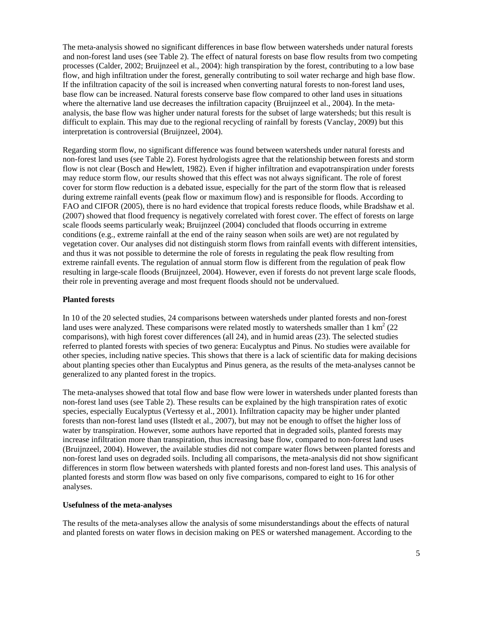The meta-analysis showed no significant differences in base flow between watersheds under natural forests and non-forest land uses (see Table 2). The effect of natural forests on base flow results from two competing processes (Calder, 2002; Bruijnzeel et al., 2004): high transpiration by the forest, contributing to a low base flow, and high infiltration under the forest, generally contributing to soil water recharge and high base flow. If the infiltration capacity of the soil is increased when converting natural forests to non-forest land uses, base flow can be increased. Natural forests conserve base flow compared to other land uses in situations where the alternative land use decreases the infiltration capacity (Bruijnzeel et al., 2004). In the metaanalysis, the base flow was higher under natural forests for the subset of large watersheds; but this result is difficult to explain. This may due to the regional recycling of rainfall by forests (Vanclay, 2009) but this interpretation is controversial (Bruijnzeel, 2004).

Regarding storm flow, no significant difference was found between watersheds under natural forests and non-forest land uses (see Table 2). Forest hydrologists agree that the relationship between forests and storm flow is not clear (Bosch and Hewlett, 1982). Even if higher infiltration and evapotranspiration under forests may reduce storm flow, our results showed that this effect was not always significant. The role of forest cover for storm flow reduction is a debated issue, especially for the part of the storm flow that is released during extreme rainfall events (peak flow or maximum flow) and is responsible for floods. According to FAO and CIFOR (2005), there is no hard evidence that tropical forests reduce floods, while Bradshaw et al. (2007) showed that flood frequency is negatively correlated with forest cover. The effect of forests on large scale floods seems particularly weak; Bruijnzeel (2004) concluded that floods occurring in extreme conditions (e.g., extreme rainfall at the end of the rainy season when soils are wet) are not regulated by vegetation cover. Our analyses did not distinguish storm flows from rainfall events with different intensities, and thus it was not possible to determine the role of forests in regulating the peak flow resulting from extreme rainfall events. The regulation of annual storm flow is different from the regulation of peak flow resulting in large-scale floods (Bruijnzeel, 2004). However, even if forests do not prevent large scale floods, their role in preventing average and most frequent floods should not be undervalued.

#### **Planted forests**

In 10 of the 20 selected studies, 24 comparisons between watersheds under planted forests and non-forest land uses were analyzed. These comparisons were related mostly to watersheds smaller than  $1 \text{ km}^2$  (22) comparisons), with high forest cover differences (all 24), and in humid areas (23). The selected studies referred to planted forests with species of two genera: Eucalyptus and Pinus. No studies were available for other species, including native species. This shows that there is a lack of scientific data for making decisions about planting species other than Eucalyptus and Pinus genera, as the results of the meta-analyses cannot be generalized to any planted forest in the tropics.

The meta-analyses showed that total flow and base flow were lower in watersheds under planted forests than non-forest land uses (see Table 2). These results can be explained by the high transpiration rates of exotic species, especially Eucalyptus (Vertessy et al., 2001). Infiltration capacity may be higher under planted forests than non-forest land uses (Ilstedt et al., 2007), but may not be enough to offset the higher loss of water by transpiration. However, some authors have reported that in degraded soils, planted forests may increase infiltration more than transpiration, thus increasing base flow, compared to non-forest land uses (Bruijnzeel, 2004). However, the available studies did not compare water flows between planted forests and non-forest land uses on degraded soils. Including all comparisons, the meta-analysis did not show significant differences in storm flow between watersheds with planted forests and non-forest land uses. This analysis of planted forests and storm flow was based on only five comparisons, compared to eight to 16 for other analyses.

#### **Usefulness of the meta-analyses**

The results of the meta-analyses allow the analysis of some misunderstandings about the effects of natural and planted forests on water flows in decision making on PES or watershed management. According to the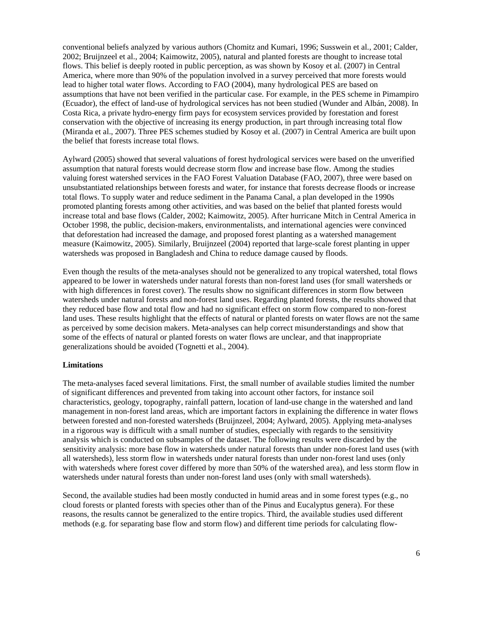conventional beliefs analyzed by various authors (Chomitz and Kumari, 1996; Susswein et al., 2001; Calder, 2002; Bruijnzeel et al., 2004; Kaimowitz, 2005), natural and planted forests are thought to increase total flows. This belief is deeply rooted in public perception, as was shown by Kosoy et al. (2007) in Central America, where more than 90% of the population involved in a survey perceived that more forests would lead to higher total water flows. According to FAO (2004), many hydrological PES are based on assumptions that have not been verified in the particular case. For example, in the PES scheme in Pimampiro (Ecuador), the effect of land-use of hydrological services has not been studied (Wunder and Albán, 2008). In Costa Rica, a private hydro-energy firm pays for ecosystem services provided by forestation and forest conservation with the objective of increasing its energy production, in part through increasing total flow (Miranda et al., 2007). Three PES schemes studied by Kosoy et al. (2007) in Central America are built upon the belief that forests increase total flows.

Aylward (2005) showed that several valuations of forest hydrological services were based on the unverified assumption that natural forests would decrease storm flow and increase base flow. Among the studies valuing forest watershed services in the FAO Forest Valuation Database (FAO, 2007), three were based on unsubstantiated relationships between forests and water, for instance that forests decrease floods or increase total flows. To supply water and reduce sediment in the Panama Canal, a plan developed in the 1990s promoted planting forests among other activities, and was based on the belief that planted forests would increase total and base flows (Calder, 2002; Kaimowitz, 2005). After hurricane Mitch in Central America in October 1998, the public, decision-makers, environmentalists, and international agencies were convinced that deforestation had increased the damage, and proposed forest planting as a watershed management measure (Kaimowitz, 2005). Similarly, Bruijnzeel (2004) reported that large-scale forest planting in upper watersheds was proposed in Bangladesh and China to reduce damage caused by floods.

Even though the results of the meta-analyses should not be generalized to any tropical watershed, total flows appeared to be lower in watersheds under natural forests than non-forest land uses (for small watersheds or with high differences in forest cover). The results show no significant differences in storm flow between watersheds under natural forests and non-forest land uses. Regarding planted forests, the results showed that they reduced base flow and total flow and had no significant effect on storm flow compared to non-forest land uses. These results highlight that the effects of natural or planted forests on water flows are not the same as perceived by some decision makers. Meta-analyses can help correct misunderstandings and show that some of the effects of natural or planted forests on water flows are unclear, and that inappropriate generalizations should be avoided (Tognetti et al., 2004).

#### **Limitations**

The meta-analyses faced several limitations. First, the small number of available studies limited the number of significant differences and prevented from taking into account other factors, for instance soil characteristics, geology, topography, rainfall pattern, location of land-use change in the watershed and land management in non-forest land areas, which are important factors in explaining the difference in water flows between forested and non-forested watersheds (Bruijnzeel, 2004; Aylward, 2005). Applying meta-analyses in a rigorous way is difficult with a small number of studies, especially with regards to the sensitivity analysis which is conducted on subsamples of the dataset. The following results were discarded by the sensitivity analysis: more base flow in watersheds under natural forests than under non-forest land uses (with all watersheds), less storm flow in watersheds under natural forests than under non-forest land uses (only with watersheds where forest cover differed by more than 50% of the watershed area), and less storm flow in watersheds under natural forests than under non-forest land uses (only with small watersheds).

Second, the available studies had been mostly conducted in humid areas and in some forest types (e.g., no cloud forests or planted forests with species other than of the Pinus and Eucalyptus genera). For these reasons, the results cannot be generalized to the entire tropics. Third, the available studies used different methods (e.g. for separating base flow and storm flow) and different time periods for calculating flow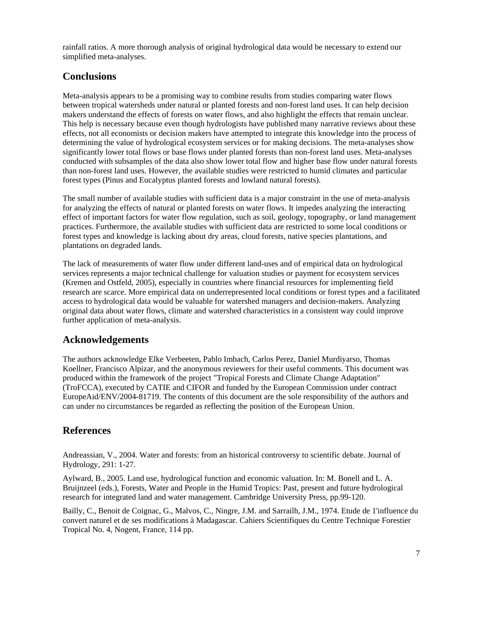rainfall ratios. A more thorough analysis of original hydrological data would be necessary to extend our simplified meta-analyses.

# **Conclusions**

Meta-analysis appears to be a promising way to combine results from studies comparing water flows between tropical watersheds under natural or planted forests and non-forest land uses. It can help decision makers understand the effects of forests on water flows, and also highlight the effects that remain unclear. This help is necessary because even though hydrologists have published many narrative reviews about these effects, not all economists or decision makers have attempted to integrate this knowledge into the process of determining the value of hydrological ecosystem services or for making decisions. The meta-analyses show significantly lower total flows or base flows under planted forests than non-forest land uses. Meta-analyses conducted with subsamples of the data also show lower total flow and higher base flow under natural forests than non-forest land uses. However, the available studies were restricted to humid climates and particular forest types (Pinus and Eucalyptus planted forests and lowland natural forests).

The small number of available studies with sufficient data is a major constraint in the use of meta-analysis for analyzing the effects of natural or planted forests on water flows. It impedes analyzing the interacting effect of important factors for water flow regulation, such as soil, geology, topography, or land management practices. Furthermore, the available studies with sufficient data are restricted to some local conditions or forest types and knowledge is lacking about dry areas, cloud forests, native species plantations, and plantations on degraded lands.

The lack of measurements of water flow under different land-uses and of empirical data on hydrological services represents a major technical challenge for valuation studies or payment for ecosystem services (Kremen and Ostfeld, 2005), especially in countries where financial resources for implementing field research are scarce. More empirical data on underrepresented local conditions or forest types and a facilitated access to hydrological data would be valuable for watershed managers and decision-makers. Analyzing original data about water flows, climate and watershed characteristics in a consistent way could improve further application of meta-analysis.

# **Acknowledgements**

The authors acknowledge Elke Verbeeten, Pablo Imbach, Carlos Perez, Daniel Murdiyarso, Thomas Koellner, Francisco Alpizar, and the anonymous reviewers for their useful comments. This document was produced within the framework of the project "Tropical Forests and Climate Change Adaptation" (TroFCCA), executed by CATIE and CIFOR and funded by the European Commission under contract EuropeAid/ENV/2004-81719. The contents of this document are the sole responsibility of the authors and can under no circumstances be regarded as reflecting the position of the European Union.

# **References**

Andreassian, V., 2004. Water and forests: from an historical controversy to scientific debate. Journal of Hydrology, 291: 1-27.

Aylward, B., 2005. Land use, hydrological function and economic valuation. In: M. Bonell and L. A. Bruijnzeel (eds.), Forests, Water and People in the Humid Tropics: Past, present and future hydrological research for integrated land and water management. Cambridge University Press, pp.99-120.

Bailly, C., Benoit de Coignac, G., Malvos, C., Ningre, J.M. and Sarrailh, J.M., 1974. Etude de 1'influence du convert naturel et de ses modifications à Madagascar. Cahiers Scientifiques du Centre Technique Forestier Tropical No. 4, Nogent, France, 114 pp.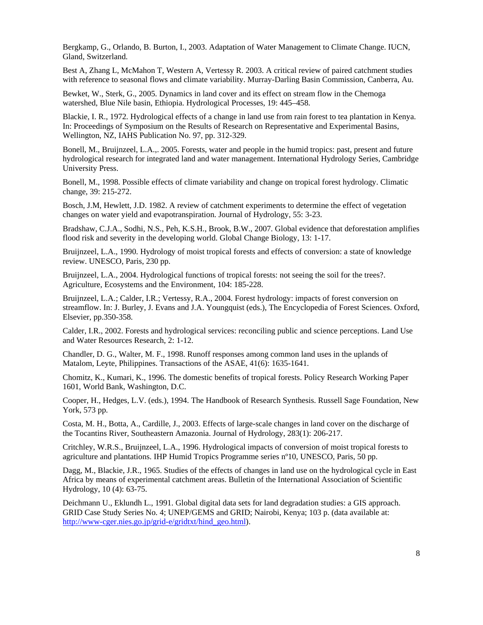Bergkamp, G., Orlando, B. Burton, I., 2003. Adaptation of Water Management to Climate Change. IUCN, Gland, Switzerland.

Best A, Zhang L, McMahon T, Western A, Vertessy R. 2003. A critical review of paired catchment studies with reference to seasonal flows and climate variability. Murray-Darling Basin Commission, Canberra, Au.

Bewket, W., Sterk, G., 2005. Dynamics in land cover and its effect on stream flow in the Chemoga watershed, Blue Nile basin, Ethiopia. Hydrological Processes, 19: 445–458.

Blackie, I. R., 1972. Hydrological effects of a change in land use from rain forest to tea plantation in Kenya. In: Proceedings of Symposium on the Results of Research on Representative and Experimental Basins, Wellington, NZ, IAHS Publication No. 97, pp. 312-329.

Bonell, M., Bruijnzeel, L.A.,. 2005. Forests, water and people in the humid tropics: past, present and future hydrological research for integrated land and water management. International Hydrology Series, Cambridge University Press.

Bonell, M., 1998. Possible effects of climate variability and change on tropical forest hydrology. Climatic change, 39: 215-272.

Bosch, J.M, Hewlett, J.D. 1982. A review of catchment experiments to determine the effect of vegetation changes on water yield and evapotranspiration. Journal of Hydrology, 55: 3-23.

Bradshaw, C.J.A., Sodhi, N.S., Peh, K.S.H., Brook, B.W., 2007. Global evidence that deforestation amplifies flood risk and severity in the developing world. Global Change Biology, 13: 1-17.

Bruijnzeel, L.A., 1990. Hydrology of moist tropical forests and effects of conversion: a state of knowledge review. UNESCO, Paris, 230 pp.

Bruijnzeel, L.A., 2004. Hydrological functions of tropical forests: not seeing the soil for the trees?. Agriculture, Ecosystems and the Environment, 104: 185-228.

Bruijnzeel, L.A.; Calder, I.R.; Vertessy, R.A., 2004. Forest hydrology: impacts of forest conversion on streamflow. In: J. Burley, J. Evans and J.A. Youngquist (eds.), The Encyclopedia of Forest Sciences. Oxford, Elsevier, pp.350-358.

Calder, I.R., 2002. Forests and hydrological services: reconciling public and science perceptions. Land Use and Water Resources Research, 2: 1-12.

Chandler, D. G., Walter, M. F., 1998. Runoff responses among common land uses in the uplands of Matalom, Leyte, Philippines. Transactions of the ASAE, 41(6): 1635-1641.

Chomitz, K., Kumari, K., 1996. The domestic benefits of tropical forests. Policy Research Working Paper 1601, World Bank, Washington, D.C.

Cooper, H., Hedges, L.V. (eds.), 1994. The Handbook of Research Synthesis. Russell Sage Foundation, New York, 573 pp.

Costa, M. H., Botta, A., Cardille, J., 2003. Effects of large-scale changes in land cover on the discharge of the Tocantins River, Southeastern Amazonia. Journal of Hydrology, 283(1): 206-217.

Critchley, W.R.S., Bruijnzeel, L.A., 1996. Hydrological impacts of conversion of moist tropical forests to agriculture and plantations. IHP Humid Tropics Programme series nº10, UNESCO, Paris, 50 pp.

Dagg, M., Blackie, J.R., 1965. Studies of the effects of changes in land use on the hydrological cycle in East Africa by means of experimental catchment areas. Bulletin of the International Association of Scientific Hydrology, 10 (4): 63-75.

Deichmann U., Eklundh L., 1991. Global digital data sets for land degradation studies: a GIS approach. GRID Case Study Series No. 4; UNEP/GEMS and GRID; Nairobi, Kenya; 103 p. (data available at: http://www-cger.nies.go.jp/grid-e/gridtxt/hind\_geo.html).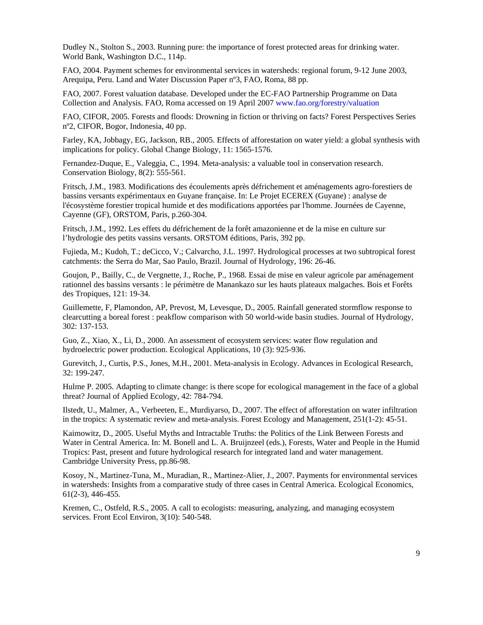Dudley N., Stolton S., 2003. Running pure: the importance of forest protected areas for drinking water. World Bank, Washington D.C., 114p.

FAO, 2004. Payment schemes for environmental services in watersheds: regional forum, 9-12 June 2003, Arequipa, Peru. Land and Water Discussion Paper nº3, FAO, Roma, 88 pp.

FAO, 2007. Forest valuation database. Developed under the EC-FAO Partnership Programme on Data Collection and Analysis. FAO, Roma accessed on 19 April 2007 www.fao.org/forestry/valuation

FAO, CIFOR, 2005. Forests and floods: Drowning in fiction or thriving on facts? Forest Perspectives Series nº2, CIFOR, Bogor, Indonesia, 40 pp.

Farley, KA, Jobbagy, EG, Jackson, RB., 2005. Effects of afforestation on water yield: a global synthesis with implications for policy. Global Change Biology, 11: 1565-1576.

Fernandez-Duque, E., Valeggia, C., 1994. Meta-analysis: a valuable tool in conservation research. Conservation Biology, 8(2): 555-561.

Fritsch, J.M., 1983. Modifications des écoulements après défrichement et aménagements agro-forestiers de bassins versants expérimentaux en Guyane française. In: Le Projet ECEREX (Guyane) : analyse de l'écosystème forestier tropical humide et des modifications apportées par l'homme. Journées de Cayenne, Cayenne (GF), ORSTOM, Paris, p.260-304.

Fritsch, J.M., 1992. Les effets du défrichement de la forêt amazonienne et de la mise en culture sur l'hydrologie des petits vassins versants. ORSTOM éditions, Paris, 392 pp.

Fujieda, M.; Kudoh, T.; deCicco, V.; Calvarcho, J.L. 1997. Hydrological processes at two subtropical forest catchments: the Serra do Mar, Sao Paulo, Brazil. Journal of Hydrology, 196: 26-46.

Goujon, P., Bailly, C., de Vergnette, J., Roche, P., 1968. Essai de mise en valeur agricole par aménagement rationnel des bassins versants : le périmètre de Manankazo sur les hauts plateaux malgaches. Bois et Forêts des Tropiques, 121: 19-34.

Guillemette, F, Plamondon, AP, Prevost, M, Levesque, D., 2005. Rainfall generated stormflow response to clearcutting a boreal forest : peakflow comparison with 50 world-wide basin studies. Journal of Hydrology, 302: 137-153.

Guo, Z., Xiao, X., Li, D., 2000. An assessment of ecosystem services: water flow regulation and hydroelectric power production. Ecological Applications, 10 (3): 925-936.

Gurevitch, J., Curtis, P.S., Jones, M.H., 2001. Meta-analysis in Ecology. Advances in Ecological Research, 32: 199-247.

Hulme P. 2005. Adapting to climate change: is there scope for ecological management in the face of a global threat? Journal of Applied Ecology, 42: 784-794.

Ilstedt, U., Malmer, A., Verbeeten, E., Murdiyarso, D., 2007. The effect of afforestation on water infiltration in the tropics: A systematic review and meta-analysis. Forest Ecology and Management, 251(1-2): 45-51.

Kaimowitz, D., 2005. Useful Myths and Intractable Truths: the Politics of the Link Between Forests and Water in Central America. In: M. Bonell and L. A. Bruijnzeel (eds.), Forests, Water and People in the Humid Tropics: Past, present and future hydrological research for integrated land and water management. Cambridge University Press, pp.86-98.

Kosoy, N., Martinez-Tuna, M., Muradian, R., Martinez-Alier, J., 2007. Payments for environmental services in watersheds: Insights from a comparative study of three cases in Central America. Ecological Economics, 61(2-3), 446-455.

Kremen, C., Ostfeld, R.S., 2005. A call to ecologists: measuring, analyzing, and managing ecosystem services. Front Ecol Environ, 3(10): 540-548.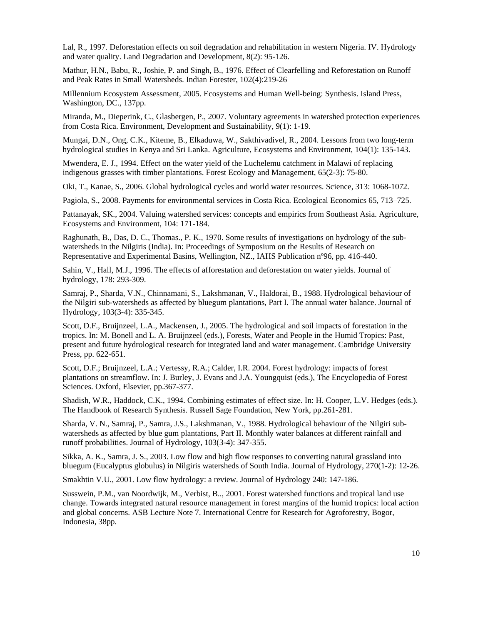Lal, R., 1997. Deforestation effects on soil degradation and rehabilitation in western Nigeria. IV. Hydrology and water quality. Land Degradation and Development, 8(2): 95-126.

Mathur, H.N., Babu, R., Joshie, P. and Singh, B., 1976. Effect of Clearfelling and Reforestation on Runoff and Peak Rates in Small Watersheds. Indian Forester, 102(4):219-26

Millennium Ecosystem Assessment, 2005. Ecosystems and Human Well-being: Synthesis. Island Press, Washington, DC., 137pp.

Miranda, M., Dieperink, C., Glasbergen, P., 2007. Voluntary agreements in watershed protection experiences from Costa Rica. Environment, Development and Sustainability, 9(1): 1-19.

Mungai, D.N., Ong, C.K., Kiteme, B., Elkaduwa, W., Sakthivadivel, R., 2004. Lessons from two long-term hydrological studies in Kenya and Sri Lanka. Agriculture, Ecosystems and Environment, 104(1): 135-143.

Mwendera, E. J., 1994. Effect on the water yield of the Luchelemu catchment in Malawi of replacing indigenous grasses with timber plantations. Forest Ecology and Management, 65(2-3): 75-80.

Oki, T., Kanae, S., 2006. Global hydrological cycles and world water resources. Science, 313: 1068-1072.

Pagiola, S., 2008. Payments for environmental services in Costa Rica. Ecological Economics 65, 713–725.

Pattanayak, SK., 2004. Valuing watershed services: concepts and empirics from Southeast Asia. Agriculture, Ecosystems and Environment, 104: 171-184.

Raghunath, B., Das, D. C., Thomas., P. K., 1970. Some results of investigations on hydrology of the subwatersheds in the Nilgiris (India). In: Proceedings of Symposium on the Results of Research on Representative and Experimental Basins, Wellington, NZ., IAHS Publication nº96, pp. 416-440.

Sahin, V., Hall, M.J., 1996. The effects of afforestation and deforestation on water yields. Journal of hydrology, 178: 293-309.

Samraj, P., Sharda, V.N., Chinnamani, S., Lakshmanan, V., Haldorai, B., 1988. Hydrological behaviour of the Nilgiri sub-watersheds as affected by bluegum plantations, Part I. The annual water balance. Journal of Hydrology, 103(3-4): 335-345.

Scott, D.F., Bruijnzeel, L.A., Mackensen, J., 2005. The hydrological and soil impacts of forestation in the tropics. In: M. Bonell and L. A. Bruijnzeel (eds.), Forests, Water and People in the Humid Tropics: Past, present and future hydrological research for integrated land and water management. Cambridge University Press, pp. 622-651.

Scott, D.F.; Bruijnzeel, L.A.; Vertessy, R.A.; Calder, I.R. 2004. Forest hydrology: impacts of forest plantations on streamflow. In: J. Burley, J. Evans and J.A. Youngquist (eds.), The Encyclopedia of Forest Sciences. Oxford, Elsevier, pp.367-377.

Shadish, W.R., Haddock, C.K., 1994. Combining estimates of effect size. In: H. Cooper, L.V. Hedges (eds.). The Handbook of Research Synthesis. Russell Sage Foundation, New York, pp.261-281.

Sharda, V. N., Samraj, P., Samra, J.S., Lakshmanan, V., 1988. Hydrological behaviour of the Nilgiri subwatersheds as affected by blue gum plantations, Part II. Monthly water balances at different rainfall and runoff probabilities. Journal of Hydrology, 103(3-4): 347-355.

Sikka, A. K., Samra, J. S., 2003. Low flow and high flow responses to converting natural grassland into bluegum (Eucalyptus globulus) in Nilgiris watersheds of South India. Journal of Hydrology, 270(1-2): 12-26.

Smakhtin V.U., 2001. Low flow hydrology: a review. Journal of Hydrology 240: 147-186.

Susswein, P.M., van Noordwijk, M., Verbist, B.., 2001. Forest watershed functions and tropical land use change. Towards integrated natural resource management in forest margins of the humid tropics: local action and global concerns. ASB Lecture Note 7. International Centre for Research for Agroforestry, Bogor, Indonesia, 38pp.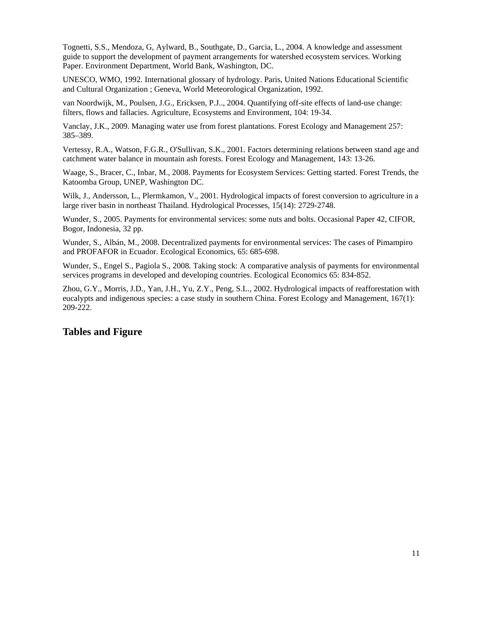Tognetti, S.S., Mendoza, G, Aylward, B., Southgate, D., Garcia, L., 2004. A knowledge and assessment guide to support the development of payment arrangements for watershed ecosystem services. Working Paper. Environment Department, World Bank, Washington, DC.

UNESCO, WMO, 1992. International glossary of hydrology. Paris, United Nations Educational Scientific and Cultural Organization ; Geneva, World Meteorological Organization, 1992.

van Noordwijk, M., Poulsen, J.G., Ericksen, P.J.., 2004. Quantifying off-site effects of land-use change: filters, flows and fallacies. Agriculture, Ecosystems and Environment, 104: 19-34.

Vanclay, J.K., 2009. Managing water use from forest plantations. Forest Ecology and Management 257: 385–389.

Vertessy, R.A., Watson, F.G.R., O'Sullivan, S.K., 2001. Factors determining relations between stand age and catchment water balance in mountain ash forests. Forest Ecology and Management, 143: 13-26.

Waage, S., Bracer, C., Inbar, M., 2008. Payments for Ecosystem Services: Getting started. Forest Trends, the Katoomba Group, UNEP, Washington DC.

Wilk, J., Andersson, L., Plermkamon, V., 2001. Hydrological impacts of forest conversion to agriculture in a large river basin in northeast Thailand. Hydrological Processes, 15(14): 2729-2748.

Wunder, S., 2005. Payments for environmental services: some nuts and bolts. Occasional Paper 42, CIFOR, Bogor, Indonesia, 32 pp.

Wunder, S., Albán, M., 2008. Decentralized payments for environmental services: The cases of Pimampiro and PROFAFOR in Ecuador. Ecological Economics, 65: 685-698.

Wunder, S., Engel S., Pagiola S., 2008. Taking stock: A comparative analysis of payments for environmental services programs in developed and developing countries. Ecological Economics 65: 834-852.

Zhou, G.Y., Morris, J.D., Yan, J.H., Yu, Z.Y., Peng, S.L., 2002. Hydrological impacts of reafforestation with eucalypts and indigenous species: a case study in southern China. Forest Ecology and Management, 167(1): 209-222.

#### **Tables and Figure**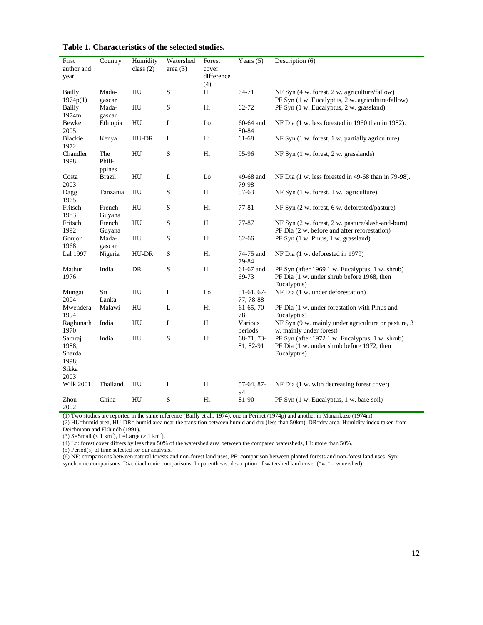| First<br>author and<br>year                         | Country                   | Humidity<br>class $(2)$ | Watershed<br>area $(3)$ | Forest<br>cover<br>difference<br>(4) | Years $(5)$               | Description (6)                                                                                              |
|-----------------------------------------------------|---------------------------|-------------------------|-------------------------|--------------------------------------|---------------------------|--------------------------------------------------------------------------------------------------------------|
| <b>Bailly</b>                                       | Mada-                     | HU                      | $\mathbf S$             | Hi                                   | 64-71                     | NF Syn (4 w. forest, 2 w. agriculture/fallow)                                                                |
| 1974p(1)<br>Bailly<br>1974m                         | gascar<br>Mada-<br>gascar | HU                      | S                       | Hi                                   | 62-72                     | PF Syn (1 w. Eucalyptus, 2 w. agriculture/fallow)<br>PF Syn (1 w. Eucalyptus, 2 w. grassland)                |
| Bewket<br>2005                                      | Ethiopia                  | HU                      | L                       | Lo                                   | 60-64 and<br>80-84        | NF Dia (1 w. less forested in 1960 than in 1982).                                                            |
| Blackie<br>1972                                     | Kenya                     | HU-DR                   | L                       | Hi                                   | 61-68                     | NF Syn (1 w. forest, 1 w. partially agriculture)                                                             |
| Chandler<br>1998                                    | The<br>Phili-<br>ppines   | HU                      | ${\bf S}$               | Hi                                   | 95-96                     | NF Syn (1 w. forest, 2 w. grasslands)                                                                        |
| Costa<br>2003                                       | <b>Brazil</b>             | HU                      | L                       | Lo                                   | 49-68 and<br>79-98        | NF Dia $(1 \text{ w}$ . less forested in 49-68 than in 79-98).                                               |
| Dagg<br>1965                                        | Tanzania                  | HU                      | $\mathbf S$             | Hi                                   | 57-63                     | $NF$ Syn $(1 w.$ forest, $1 w.$ agriculture)                                                                 |
| Fritsch<br>1983                                     | French<br>Guyana          | HU                      | $\mathbf S$             | Hi                                   | 77-81                     | NF Syn (2 w. forest, 6 w. deforested/pasture)                                                                |
| Fritsch<br>1992                                     | French<br>Guyana          | HU                      | S                       | Hi                                   | 77-87                     | NF Syn (2 w. forest, 2 w. pasture/slash-and-burn)<br>PF Dia (2 w. before and after reforestation)            |
| Goujon<br>1968                                      | Mada-<br>gascar           | HU                      | $\mathbf S$             | Hi                                   | 62-66                     | PF Syn (1 w. Pinus, 1 w. grassland)                                                                          |
| Lal 1997                                            | Nigeria                   | HU-DR                   | S                       | Hi                                   | 74-75 and<br>79-84        | NF Dia (1 w. deforested in 1979)                                                                             |
| Mathur<br>1976                                      | India                     | DR                      | $\mathbf S$             | Hi                                   | 61-67 and<br>69-73        | PF Syn (after 1969 1 w. Eucalyptus, 1 w. shrub)<br>PF Dia (1 w. under shrub before 1968, then<br>Eucalyptus) |
| Mungai<br>2004                                      | Sri<br>Lanka              | HU                      | L                       | Lo                                   | $51-61, 67-$<br>77, 78-88 | NF Dia (1 w. under deforestation)                                                                            |
| Mwendera<br>1994                                    | Malawi                    | HU                      | L                       | Hi                                   | $61-65, 70-$<br>78        | PF Dia (1 w. under forestation with Pinus and<br>Eucalyptus)                                                 |
| Raghunath<br>1970                                   | India                     | HU                      | L                       | Hi                                   | Various<br>periods        | NF Syn (9 w. mainly under agriculture or pasture, 3<br>w. mainly under forest)                               |
| Samraj<br>1988;<br>Sharda<br>1998;<br>Sikka<br>2003 | India                     | HU                      | $\mathbf S$             | Hi                                   | 68-71, 73-<br>81, 82-91   | PF Syn (after 1972 1 w. Eucalyptus, 1 w. shrub)<br>PF Dia (1 w. under shrub before 1972, then<br>Eucalyptus) |
| <b>Wilk 2001</b>                                    | Thailand                  | HU                      | L                       | Hi                                   | 57-64, 87-<br>94          | NF Dia (1 w. with decreasing forest cover)                                                                   |
| Zhou<br>2002                                        | China                     | HU                      | S                       | Hi                                   | 81-90                     | PF Syn (1 w. Eucalyptus, 1 w. bare soil)                                                                     |

(1) Two studies are reported in the same reference (Bailly et al., 1974), one in Périnet (1974p) and another in Manankazo (1974m).

(2) HU=humid area, HU-DR= humid area near the transition between humid and dry (less than 50km), DR=dry area. Humidity index taken from Deichmann and Eklundh (1991).

(3) S=Small (< 1 km<sup>2</sup>), L=Large (> 1 km<sup>2</sup>).

(4) Lo: forest cover differs by less than 50% of the watershed area between the compared watersheds, Hi: more than 50%.

(5) Period(s) of time selected for our analysis.

(6) NF: comparisons between natural forests and non-forest land uses, PF: comparison between planted forests and non-forest land uses. Syn: synchronic comparisons. Dia: diachronic comparisons. In parenthesis: description of watershed land cover ("w." = watershed).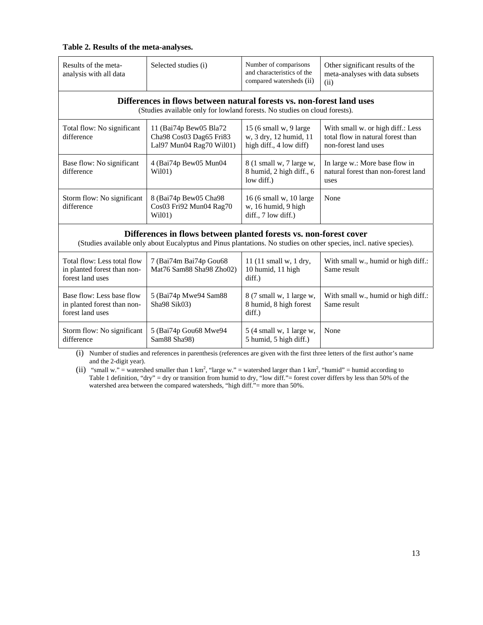#### **Table 2. Results of the meta-analyses.**

| Results of the meta-<br>analysis with all data                                                                                                                                           | Selected studies (i)                                                          | Number of comparisons<br>and characteristics of the<br>compared watersheds (ii) | Other significant results of the<br>meta-analyses with data subsets<br>(ii)                    |  |  |  |  |  |  |
|------------------------------------------------------------------------------------------------------------------------------------------------------------------------------------------|-------------------------------------------------------------------------------|---------------------------------------------------------------------------------|------------------------------------------------------------------------------------------------|--|--|--|--|--|--|
| Differences in flows between natural forests vs. non-forest land uses<br>(Studies available only for lowland forests. No studies on cloud forests).                                      |                                                                               |                                                                                 |                                                                                                |  |  |  |  |  |  |
| Total flow: No significant<br>difference                                                                                                                                                 | 11 (Bai74p Bew05 Bla72<br>Cha98 Cos03 Dag65 Fri83<br>Lal97 Mun04 Rag70 Wil01) | 15 (6 small w, 9 large<br>w, 3 dry, 12 humid, 11<br>high diff., 4 low diff)     | With small w. or high diff.: Less<br>total flow in natural forest than<br>non-forest land uses |  |  |  |  |  |  |
| Base flow: No significant<br>difference                                                                                                                                                  | 4 (Bai74p Bew05 Mun04<br>W <sub>i</sub> 101                                   | 8 (1 small w, 7 large w,<br>8 humid, 2 high diff., 6<br>low diff.)              | In large w.: More base flow in<br>natural forest than non-forest land<br>uses                  |  |  |  |  |  |  |
| Storm flow: No significant<br>difference                                                                                                                                                 | 8 (Bai74p Bew05 Cha98<br>Cos03 Fri92 Mun04 Rag70<br>Wil01)                    | 16 (6 small w, 10 large<br>w, 16 humid, 9 high<br>$diff., 7$ low diff.)         | None                                                                                           |  |  |  |  |  |  |
| Differences in flows between planted forests vs. non-forest cover<br>(Studies available only about Eucalyptus and Pinus plantations. No studies on other species, incl. native species). |                                                                               |                                                                                 |                                                                                                |  |  |  |  |  |  |
| Total flow: Less total flow<br>in planted forest than non-<br>forest land uses                                                                                                           | 7 (Bai74m Bai74p Gou68<br>Mat76 Sam88 Sha98 Zho02)                            | 11 (11 small w, 1 dry,<br>10 humid, 11 high<br>diff.)                           | With small w., humid or high diff.:<br>Same result                                             |  |  |  |  |  |  |
| Base flow: Less base flow<br>in planted forest than non-<br>forest land uses                                                                                                             | 5 (Bai74p Mwe94 Sam88<br>Sha98 Sik03)                                         | 8 (7 small w, 1 large w,<br>8 humid, 8 high forest<br>diff.)                    | With small w., humid or high diff.:<br>Same result                                             |  |  |  |  |  |  |
| Storm flow: No significant<br>difference                                                                                                                                                 | 5 (Bai74p Gou68 Mwe94<br>Sam88 Sha98)                                         | 5 (4 small w, 1 large w,<br>5 humid, 5 high diff.)                              | None                                                                                           |  |  |  |  |  |  |

(i) Number of studies and references in parenthesis (references are given with the first three letters of the first author's name and the 2-digit year).

(ii) "small w." = watershed smaller than 1 km<sup>2</sup>, "large w." = watershed larger than 1 km<sup>2</sup>, "humid" = humid according to Table 1 definition, "dry" = dry or transition from humid to dry, "low diff."= forest cover differs by less than 50% of the watershed area between the compared watersheds, "high diff."= more than 50%.